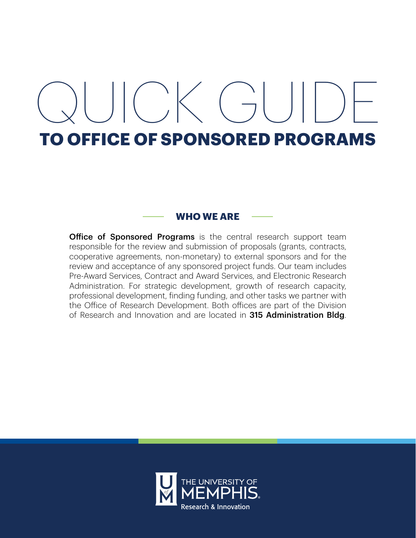# $\bigcup_{i=1}^{n}$   $\bigcup_{i=1}^{n}$   $\bigcup_{i=1}^{n}$   $\bigcup_{i=1}^{n}$   $\bigcup_{i=1}^{n}$   $\bigcup_{i=1}^{n}$   $\bigcup_{i=1}^{n}$   $\bigcup_{i=1}^{n}$   $\bigcup_{i=1}^{n}$   $\bigcup_{i=1}^{n}$   $\bigcup_{i=1}^{n}$   $\bigcup_{i=1}^{n}$   $\bigcup_{i=1}^{n}$   $\bigcup_{i=1}^{n}$   $\bigcup_{i=1}^{n}$   $\bigcup_{i=1}^{n$ **TO OFFICE OF SPONSORED PROGRAMS**

# **WHO WE ARE**

**Office of Sponsored Programs** is the central research support team responsible for the review and submission of proposals (grants, contracts, cooperative agreements, non-monetary) to external sponsors and for the review and acceptance of any sponsored project funds. Our team includes Pre-Award Services, Contract and Award Services, and Electronic Research Administration. For strategic development, growth of research capacity, professional development, finding funding, and other tasks we partner with the Office of Research Development. Both offices are part of the Division of Research and Innovation and are located in 315 Administration Bldg.

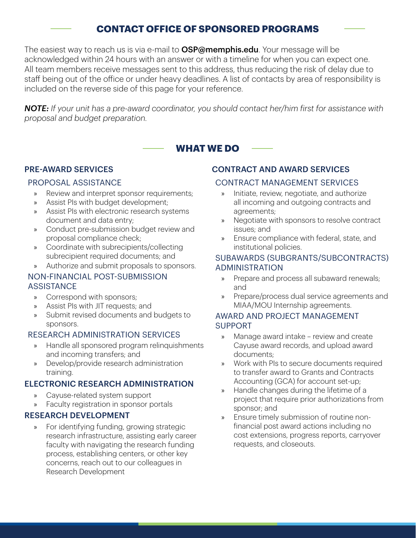# **CONTACT OFFICE OF SPONSORED PROGRAMS**

The easiest way to reach us is via e-mail to **OSP@memphis.edu**. Your message will be acknowledged within 24 hours with an answer or with a timeline for when you can expect one. All team members receive messages sent to this address, thus reducing the risk of delay due to staff being out of the office or under heavy deadlines. A list of contacts by area of responsibility is included on the reverse side of this page for your reference.

*NOTE: If your unit has a pre-award coordinator, you should contact her/him first for assistance with proposal and budget preparation.* 

# **WHAT WE DO**

# PRE-AWARD SERVICES

#### PROPOSAL ASSISTANCE

- » Review and interpret sponsor requirements;
- » Assist PIs with budget development;
- » Assist PIs with electronic research systems document and data entry;
- » Conduct pre-submission budget review and proposal compliance check;
- » Coordinate with subrecipients/collecting subrecipient required documents; and
- » Authorize and submit proposals to sponsors.

#### NON-FINANCIAL POST-SUBMISSION **ASSISTANCE**

- » Correspond with sponsors;
- » Assist PIs with JIT requests; and
- » Submit revised documents and budgets to sponsors.

# RESEARCH ADMINISTRATION SERVICES

- » Handle all sponsored program relinquishments and incoming transfers; and
- » Develop/provide research administration training.

# ELECTRONIC RESEARCH ADMINISTRATION

- » Cayuse-related system support
- » Faculty registration in sponsor portals

# RESEARCH DEVELOPMENT

» For identifying funding, growing strategic research infrastructure, assisting early career faculty with navigating the research funding process, establishing centers, or other key concerns, reach out to our colleagues in Research Development

# CONTRACT AND AWARD SERVICES

#### CONTRACT MANAGEMENT SERVICES

- » Initiate, review, negotiate, and authorize all incoming and outgoing contracts and agreements;
- » Negotiate with sponsors to resolve contract issues; and
- » Ensure compliance with federal, state, and institutional policies.

#### SUBAWARDS (SUBGRANTS/SUBCONTRACTS) ADMINISTRATION

- » Prepare and process all subaward renewals; and
- » Prepare/process dual service agreements and MIAA/MOU Internship agreements.

# AWARD AND PROJECT MANAGEMENT SUPPORT

- » Manage award intake review and create Cayuse award records, and upload award documents;
- » Work with PIs to secure documents required to transfer award to Grants and Contracts Accounting (GCA) for account set-up;
- » Handle changes during the lifetime of a project that require prior authorizations from sponsor; and
- » Ensure timely submission of routine nonfinancial post award actions including no cost extensions, progress reports, carryover requests, and closeouts.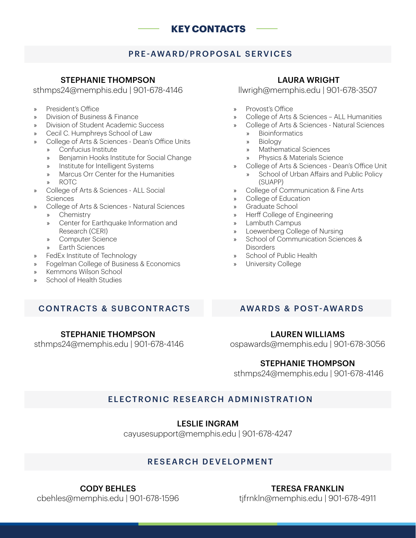# **KEY CONTACTS**

# PRE-AWARD/PROPOSAL SERVICES

#### STEPHANIE THOMPSON

sthmps24@memphis.edu | 901-678-4146

- » President's Office
- » Division of Business & Finance
- » Division of Student Academic Success
- » Cecil C. Humphreys School of Law
- College of Arts & Sciences Dean's Office Units
	- » Confucius Institute
		- » Benjamin Hooks Institute for Social Change
		- » Institute for Intelligent Systems
		- » Marcus Orr Center for the Humanities
		- » ROTC
- » College of Arts & Sciences ALL Social **Sciences**
- » College of Arts & Sciences Natural Sciences
	- » Chemistry
	- » Center for Earthquake Information and Research (CERI)
	- » Computer Science
	- » Earth Sciences
- » FedEx Institute of Technology
- » Fogelman College of Business & Economics
- » Kemmons Wilson School
- » School of Health Studies

#### LAURA WRIGHT

llwrigh@memphis.edu | 901-678-3507

- » Provost's Office
- » College of Arts & Sciences ALL Humanities
- » College of Arts & Sciences Natural Sciences
	- » Bioinformatics
	- » Biology
	- » Mathematical Sciences
	- » Physics & Materials Science
- » College of Arts & Sciences Dean's Office Unit » School of Urban Affairs and Public Policy
	- (SUAPP)
- » College of Communication & Fine Arts
- » College of Education
- » Graduate School
- » Herff College of Engineering
- » Lambuth Campus
- » Loewenberg College of Nursing
- » School of Communication Sciences & **Disorders**
- » School of Public Health
- » University College

# CONTRACTS & SUBCONTRACTS AWARDS & POST-AWARDS

#### STEPHANIE THOMPSON

sthmps24@memphis.edu | 901-678-4146

#### LAUREN WILLIAMS

ospawards@memphis.edu | 901-678-3056

# STEPHANIE THOMPSON

sthmps24@memphis.edu | 901-678-4146

# ELECTRONIC RESEARCH ADMINISTRATION

# LESLIE INGRAM

cayusesupport@memphis.edu | 901-678-4247

# RESEARCH DEVELOPMENT

CODY BEHLES cbehles@memphis.edu | 901-678-1596

#### TERESA FRANKLIN tjfrnkln@memphis.edu | 901-678-4911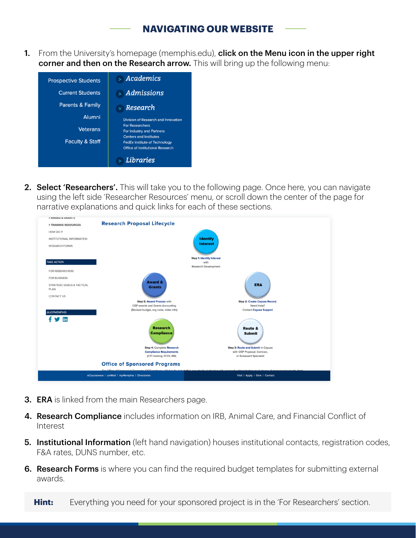# **NAVIGATING OUR WEBSITE**

1. From the University's homepage (memphis.edu), click on the Menu icon in the upper right corner and then on the Research arrow. This will bring up the following menu:



2. Select 'Researchers'. This will take you to the following page. Once here, you can navigate using the left side 'Researcher Resources' menu, or scroll down the center of the page for narrative explanations and quick links for each of these sections.



- **3. ERA** is linked from the main Researchers page.
- 4. Research Compliance includes information on IRB, Animal Care, and Financial Conflict of Interest
- **5. Institutional Information** (left hand navigation) houses institutional contacts, registration codes, F&A rates, DUNS number, etc.
- **6. Research Forms** is where you can find the required budget templates for submitting external awards.

**Hint:** Everything you need for your sponsored project is in the 'For Researchers' section.